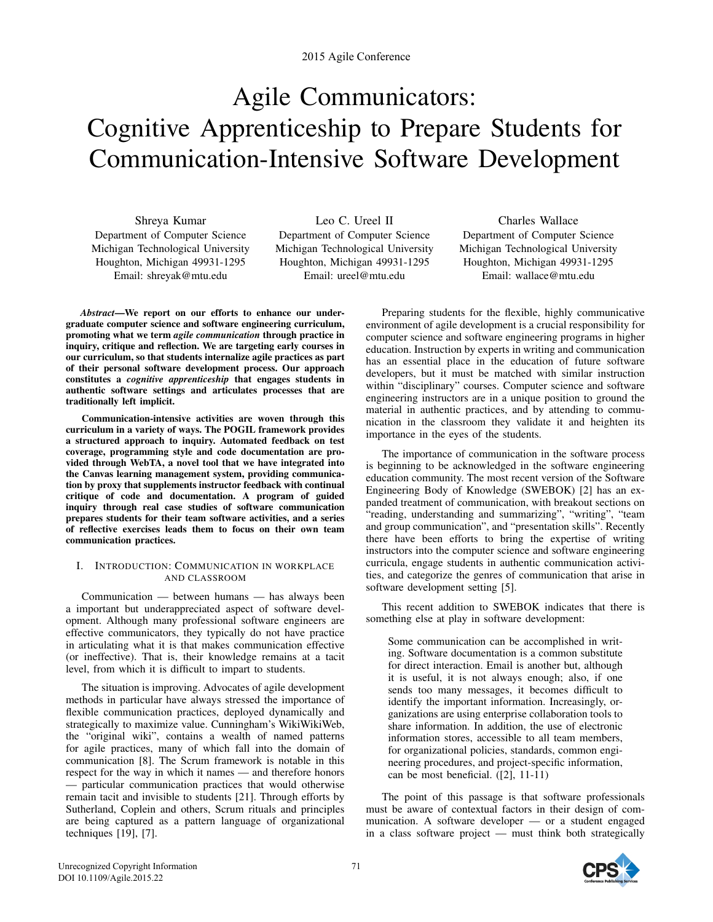# Agile Communicators: Cognitive Apprenticeship to Prepare Students for Communication-Intensive Software Development

Shreya Kumar Department of Computer Science Michigan Technological University Houghton, Michigan 49931-1295 Email: shreyak@mtu.edu

Leo C. Ureel II Department of Computer Science Michigan Technological University Houghton, Michigan 49931-1295 Email: ureel@mtu.edu

Charles Wallace Department of Computer Science Michigan Technological University Houghton, Michigan 49931-1295 Email: wallace@mtu.edu

*Abstract*—We report on our efforts to enhance our undergraduate computer science and software engineering curriculum, promoting what we term *agile communication* through practice in inquiry, critique and reflection. We are targeting early courses in our curriculum, so that students internalize agile practices as part of their personal software development process. Our approach constitutes a *cognitive apprenticeship* that engages students in authentic software settings and articulates processes that are traditionally left implicit.

Communication-intensive activities are woven through this curriculum in a variety of ways. The POGIL framework provides a structured approach to inquiry. Automated feedback on test coverage, programming style and code documentation are provided through WebTA, a novel tool that we have integrated into the Canvas learning management system, providing communication by proxy that supplements instructor feedback with continual critique of code and documentation. A program of guided inquiry through real case studies of software communication prepares students for their team software activities, and a series of reflective exercises leads them to focus on their own team communication practices.

## I. INTRODUCTION: COMMUNICATION IN WORKPLACE AND CLASSROOM

Communication — between humans — has always been a important but underappreciated aspect of software development. Although many professional software engineers are effective communicators, they typically do not have practice in articulating what it is that makes communication effective (or ineffective). That is, their knowledge remains at a tacit level, from which it is difficult to impart to students.

The situation is improving. Advocates of agile development methods in particular have always stressed the importance of flexible communication practices, deployed dynamically and strategically to maximize value. Cunningham's WikiWikiWeb, the "original wiki", contains a wealth of named patterns for agile practices, many of which fall into the domain of communication [8]. The Scrum framework is notable in this respect for the way in which it names — and therefore honors — particular communication practices that would otherwise remain tacit and invisible to students [21]. Through efforts by Sutherland, Coplein and others, Scrum rituals and principles are being captured as a pattern language of organizational techniques [19], [7].

Preparing students for the flexible, highly communicative environment of agile development is a crucial responsibility for computer science and software engineering programs in higher education. Instruction by experts in writing and communication has an essential place in the education of future software developers, but it must be matched with similar instruction within "disciplinary" courses. Computer science and software engineering instructors are in a unique position to ground the material in authentic practices, and by attending to communication in the classroom they validate it and heighten its importance in the eyes of the students.

The importance of communication in the software process is beginning to be acknowledged in the software engineering education community. The most recent version of the Software Engineering Body of Knowledge (SWEBOK) [2] has an expanded treatment of communication, with breakout sections on "reading, understanding and summarizing", "writing", "team and group communication", and "presentation skills". Recently there have been efforts to bring the expertise of writing instructors into the computer science and software engineering curricula, engage students in authentic communication activities, and categorize the genres of communication that arise in software development setting [5].

This recent addition to SWEBOK indicates that there is something else at play in software development:

Some communication can be accomplished in writing. Software documentation is a common substitute for direct interaction. Email is another but, although it is useful, it is not always enough; also, if one sends too many messages, it becomes difficult to identify the important information. Increasingly, organizations are using enterprise collaboration tools to share information. In addition, the use of electronic information stores, accessible to all team members, for organizational policies, standards, common engineering procedures, and project-specific information, can be most beneficial. ([2], 11-11)

The point of this passage is that software professionals must be aware of contextual factors in their design of communication. A software developer — or a student engaged in a class software project — must think both strategically

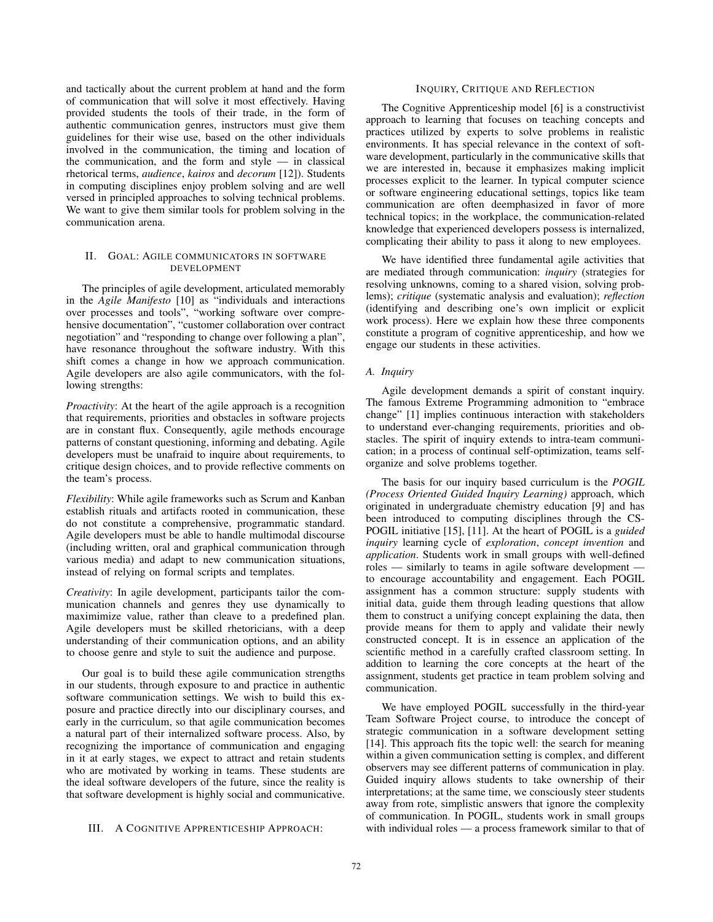and tactically about the current problem at hand and the form of communication that will solve it most effectively. Having provided students the tools of their trade, in the form of authentic communication genres, instructors must give them guidelines for their wise use, based on the other individuals involved in the communication, the timing and location of the communication, and the form and style  $-$  in classical rhetorical terms, *audience*, *kairos* and *decorum* [12]). Students in computing disciplines enjoy problem solving and are well versed in principled approaches to solving technical problems. We want to give them similar tools for problem solving in the communication arena.

#### II. GOAL: AGILE COMMUNICATORS IN SOFTWARE DEVELOPMENT

The principles of agile development, articulated memorably in the *Agile Manifesto* [10] as "individuals and interactions over processes and tools", "working software over comprehensive documentation", "customer collaboration over contract negotiation" and "responding to change over following a plan", have resonance throughout the software industry. With this shift comes a change in how we approach communication. Agile developers are also agile communicators, with the following strengths:

*Proactivity*: At the heart of the agile approach is a recognition that requirements, priorities and obstacles in software projects are in constant flux. Consequently, agile methods encourage patterns of constant questioning, informing and debating. Agile developers must be unafraid to inquire about requirements, to critique design choices, and to provide reflective comments on the team's process.

*Flexibility*: While agile frameworks such as Scrum and Kanban establish rituals and artifacts rooted in communication, these do not constitute a comprehensive, programmatic standard. Agile developers must be able to handle multimodal discourse (including written, oral and graphical communication through various media) and adapt to new communication situations, instead of relying on formal scripts and templates.

*Creativity*: In agile development, participants tailor the communication channels and genres they use dynamically to maximimize value, rather than cleave to a predefined plan. Agile developers must be skilled rhetoricians, with a deep understanding of their communication options, and an ability to choose genre and style to suit the audience and purpose.

Our goal is to build these agile communication strengths in our students, through exposure to and practice in authentic software communication settings. We wish to build this exposure and practice directly into our disciplinary courses, and early in the curriculum, so that agile communication becomes a natural part of their internalized software process. Also, by recognizing the importance of communication and engaging in it at early stages, we expect to attract and retain students who are motivated by working in teams. These students are the ideal software developers of the future, since the reality is that software development is highly social and communicative.

#### III. A COGNITIVE APPRENTICESHIP APPROACH:

The Cognitive Apprenticeship model [6] is a constructivist approach to learning that focuses on teaching concepts and practices utilized by experts to solve problems in realistic environments. It has special relevance in the context of software development, particularly in the communicative skills that we are interested in, because it emphasizes making implicit processes explicit to the learner. In typical computer science or software engineering educational settings, topics like team communication are often deemphasized in favor of more technical topics; in the workplace, the communication-related knowledge that experienced developers possess is internalized, complicating their ability to pass it along to new employees.

We have identified three fundamental agile activities that are mediated through communication: *inquiry* (strategies for resolving unknowns, coming to a shared vision, solving problems); *critique* (systematic analysis and evaluation); *reflection* (identifying and describing one's own implicit or explicit work process). Here we explain how these three components constitute a program of cognitive apprenticeship, and how we engage our students in these activities.

## *A. Inquiry*

Agile development demands a spirit of constant inquiry. The famous Extreme Programming admonition to "embrace change" [1] implies continuous interaction with stakeholders to understand ever-changing requirements, priorities and obstacles. The spirit of inquiry extends to intra-team communication; in a process of continual self-optimization, teams selforganize and solve problems together.

The basis for our inquiry based curriculum is the *POGIL (Process Oriented Guided Inquiry Learning)* approach, which originated in undergraduate chemistry education [9] and has been introduced to computing disciplines through the CS-POGIL initiative [15], [11]. At the heart of POGIL is a *guided inquiry* learning cycle of *exploration*, *concept invention* and *application*. Students work in small groups with well-defined roles — similarly to teams in agile software development to encourage accountability and engagement. Each POGIL assignment has a common structure: supply students with initial data, guide them through leading questions that allow them to construct a unifying concept explaining the data, then provide means for them to apply and validate their newly constructed concept. It is in essence an application of the scientific method in a carefully crafted classroom setting. In addition to learning the core concepts at the heart of the assignment, students get practice in team problem solving and communication.

We have employed POGIL successfully in the third-year Team Software Project course, to introduce the concept of strategic communication in a software development setting [14]. This approach fits the topic well: the search for meaning within a given communication setting is complex, and different observers may see different patterns of communication in play. Guided inquiry allows students to take ownership of their interpretations; at the same time, we consciously steer students away from rote, simplistic answers that ignore the complexity of communication. In POGIL, students work in small groups with individual roles — a process framework similar to that of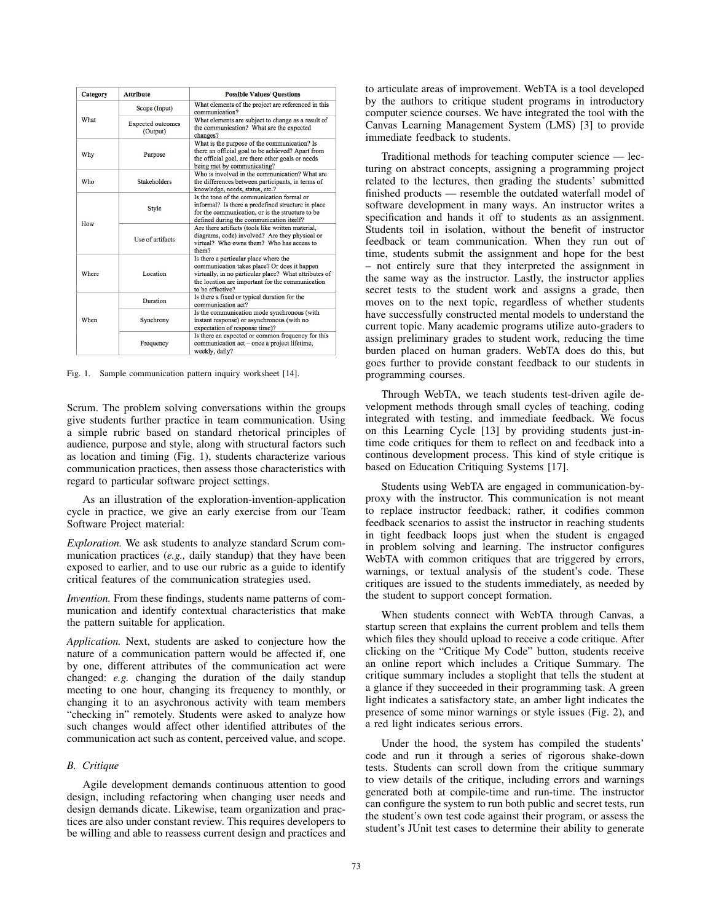| Category | <b>Attribute</b>                     | <b>Possible Values/ Questions</b>                                                                                                                                                                                      |
|----------|--------------------------------------|------------------------------------------------------------------------------------------------------------------------------------------------------------------------------------------------------------------------|
| What     | Scope (Input)                        | What elements of the project are referenced in this<br>communication?                                                                                                                                                  |
|          | <b>Expected outcomes</b><br>(Output) | What elements are subject to change as a result of<br>the communication? What are the expected<br>changes?                                                                                                             |
| Why      | Purpose                              | What is the purpose of the communication? Is<br>there an official goal to be achieved? Apart from<br>the official goal, are there other goals or needs<br>being met by communicating?                                  |
| Who      | <b>Stakeholders</b>                  | Who is involved in the communication? What are<br>the differences between participants, in terms of<br>knowledge, needs, status, etc.?                                                                                 |
| How      | Style                                | Is the tone of the communication formal or<br>informal? Is there a predefined structure in place<br>for the communication, or is the structure to be<br>defined during the communication itself?                       |
|          | Use of artifacts                     | Are there artifacts (tools like written material,<br>diagrams, code) involved? Are they physical or<br>virtual? Who owns them? Who has access to<br>them?                                                              |
| Where    | Location                             | Is there a particular place where the<br>communication takes place? Or does it happen<br>virtually, in no particular place? What attributes of<br>the location are important for the communication<br>to be effective? |
| When     | Duration                             | Is there a fixed or typical duration for the<br>communication act?                                                                                                                                                     |
|          | Synchrony                            | Is the communication mode synchronous (with<br>instant response) or asynchronous (with no<br>expectation of response time)?                                                                                            |
|          | Frequency                            | Is there an expected or common frequency for this<br>communication act – once a project lifetime,<br>weekly, daily?                                                                                                    |

Fig. 1. Sample communication pattern inquiry worksheet [14].

Scrum. The problem solving conversations within the groups give students further practice in team communication. Using a simple rubric based on standard rhetorical principles of audience, purpose and style, along with structural factors such as location and timing (Fig. 1), students characterize various communication practices, then assess those characteristics with regard to particular software project settings.

As an illustration of the exploration-invention-application cycle in practice, we give an early exercise from our Team Software Project material:

*Exploration.* We ask students to analyze standard Scrum communication practices (*e.g.,* daily standup) that they have been exposed to earlier, and to use our rubric as a guide to identify critical features of the communication strategies used.

*Invention.* From these findings, students name patterns of communication and identify contextual characteristics that make the pattern suitable for application.

*Application.* Next, students are asked to conjecture how the nature of a communication pattern would be affected if, one by one, different attributes of the communication act were changed: *e.g.* changing the duration of the daily standup meeting to one hour, changing its frequency to monthly, or changing it to an asychronous activity with team members "checking in" remotely. Students were asked to analyze how such changes would affect other identified attributes of the communication act such as content, perceived value, and scope.

## *B. Critique*

Agile development demands continuous attention to good design, including refactoring when changing user needs and design demands dicate. Likewise, team organization and practices are also under constant review. This requires developers to be willing and able to reassess current design and practices and to articulate areas of improvement. WebTA is a tool developed by the authors to critique student programs in introductory computer science courses. We have integrated the tool with the Canvas Learning Management System (LMS) [3] to provide immediate feedback to students.

Traditional methods for teaching computer science — lecturing on abstract concepts, assigning a programming project related to the lectures, then grading the students' submitted finished products — resemble the outdated waterfall model of software development in many ways. An instructor writes a specification and hands it off to students as an assignment. Students toil in isolation, without the benefit of instructor feedback or team communication. When they run out of time, students submit the assignment and hope for the best – not entirely sure that they interpreted the assignment in the same way as the instructor. Lastly, the instructor applies secret tests to the student work and assigns a grade, then moves on to the next topic, regardless of whether students have successfully constructed mental models to understand the current topic. Many academic programs utilize auto-graders to assign preliminary grades to student work, reducing the time burden placed on human graders. WebTA does do this, but goes further to provide constant feedback to our students in programming courses.

Through WebTA, we teach students test-driven agile development methods through small cycles of teaching, coding integrated with testing, and immediate feedback. We focus on this Learning Cycle [13] by providing students just-intime code critiques for them to reflect on and feedback into a continous development process. This kind of style critique is based on Education Critiquing Systems [17].

Students using WebTA are engaged in communication-byproxy with the instructor. This communication is not meant to replace instructor feedback; rather, it codifies common feedback scenarios to assist the instructor in reaching students in tight feedback loops just when the student is engaged in problem solving and learning. The instructor configures WebTA with common critiques that are triggered by errors, warnings, or textual analysis of the student's code. These critiques are issued to the students immediately, as needed by the student to support concept formation.

When students connect with WebTA through Canvas, a startup screen that explains the current problem and tells them which files they should upload to receive a code critique. After clicking on the "Critique My Code" button, students receive an online report which includes a Critique Summary. The critique summary includes a stoplight that tells the student at a glance if they succeeded in their programming task. A green light indicates a satisfactory state, an amber light indicates the presence of some minor warnings or style issues (Fig. 2), and a red light indicates serious errors.

Under the hood, the system has compiled the students' code and run it through a series of rigorous shake-down tests. Students can scroll down from the critique summary to view details of the critique, including errors and warnings generated both at compile-time and run-time. The instructor can configure the system to run both public and secret tests, run the student's own test code against their program, or assess the student's JUnit test cases to determine their ability to generate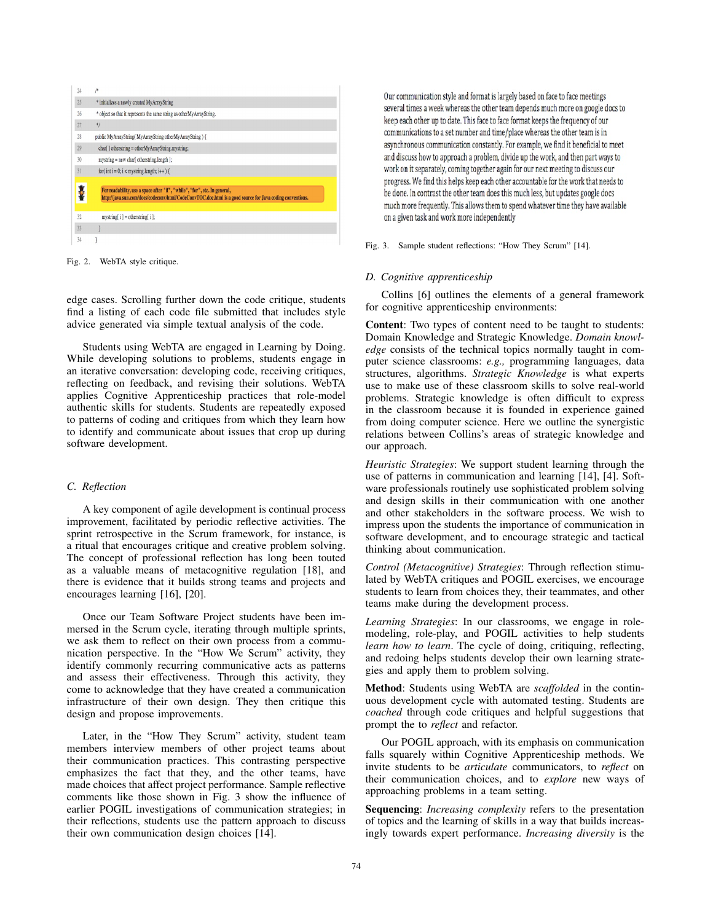| 24 | j4                                                                                                                                                                                     |  |
|----|----------------------------------------------------------------------------------------------------------------------------------------------------------------------------------------|--|
| 25 | * initializes a newly created MyArrayString                                                                                                                                            |  |
| 26 | * object so that it represents the same string as otherMyArrayString.                                                                                                                  |  |
| 27 | $*$                                                                                                                                                                                    |  |
| 28 | public MyArrayString(MyArrayString otherMyArrayString) {                                                                                                                               |  |
| 29 | char[] otherstring = otherMyArrayString.mystring;                                                                                                                                      |  |
| 30 | mystring = new char[ otherstring.length ];                                                                                                                                             |  |
| 31 | for( int i = 0; i < mystring length; i++ ) {                                                                                                                                           |  |
|    | For readability, use a space after "if", "while", "for", etc. In general,<br>http://java.sun.com/docs/codeconv/html/CodeConvTOC.doc.html is a good source for Java coding conventions. |  |
| 32 | $mystring[i] = otherstring[i];$                                                                                                                                                        |  |
|    |                                                                                                                                                                                        |  |
| 33 |                                                                                                                                                                                        |  |

Fig. 2. WebTA style critique.

edge cases. Scrolling further down the code critique, students find a listing of each code file submitted that includes style advice generated via simple textual analysis of the code.

Students using WebTA are engaged in Learning by Doing. While developing solutions to problems, students engage in an iterative conversation: developing code, receiving critiques, reflecting on feedback, and revising their solutions. WebTA applies Cognitive Apprenticeship practices that role-model authentic skills for students. Students are repeatedly exposed to patterns of coding and critiques from which they learn how to identify and communicate about issues that crop up during software development.

# *C. Reflection*

A key component of agile development is continual process improvement, facilitated by periodic reflective activities. The sprint retrospective in the Scrum framework, for instance, is a ritual that encourages critique and creative problem solving. The concept of professional reflection has long been touted as a valuable means of metacognitive regulation [18], and there is evidence that it builds strong teams and projects and encourages learning [16], [20].

Once our Team Software Project students have been immersed in the Scrum cycle, iterating through multiple sprints, we ask them to reflect on their own process from a communication perspective. In the "How We Scrum" activity, they identify commonly recurring communicative acts as patterns and assess their effectiveness. Through this activity, they come to acknowledge that they have created a communication infrastructure of their own design. They then critique this design and propose improvements.

Later, in the "How They Scrum" activity, student team members interview members of other project teams about their communication practices. This contrasting perspective emphasizes the fact that they, and the other teams, have made choices that affect project performance. Sample reflective comments like those shown in Fig. 3 show the influence of earlier POGIL investigations of communication strategies; in their reflections, students use the pattern approach to discuss their own communication design choices [14].

Our communication style and format is largely based on face to face meetings several times a week whereas the other team depends much more on google docs to keep each other up to date. This face to face format keeps the frequency of our communications to a set number and time/place whereas the other team is in asynchronous communication constantly. For example, we find it beneficial to meet and discuss how to approach a problem, divide up the work, and then part ways to work on it separately, coming together again for our next meeting to discuss our progress. We find this helps keep each other accountable for the work that needs to be done. In contrast the other team does this much less, but updates google docs much more frequently. This allows them to spend whatever time they have available on a given task and work more independently

Fig. 3. Sample student reflections: "How They Scrum" [14].

#### *D. Cognitive apprenticeship*

Collins [6] outlines the elements of a general framework for cognitive apprenticeship environments:

Content: Two types of content need to be taught to students: Domain Knowledge and Strategic Knowledge. *Domain knowledge* consists of the technical topics normally taught in computer science classrooms: *e.g.,* programming languages, data structures, algorithms. *Strategic Knowledge* is what experts use to make use of these classroom skills to solve real-world problems. Strategic knowledge is often difficult to express in the classroom because it is founded in experience gained from doing computer science. Here we outline the synergistic relations between Collins's areas of strategic knowledge and our approach.

*Heuristic Strategies*: We support student learning through the use of patterns in communication and learning [14], [4]. Software professionals routinely use sophisticated problem solving and design skills in their communication with one another and other stakeholders in the software process. We wish to impress upon the students the importance of communication in software development, and to encourage strategic and tactical thinking about communication.

*Control (Metacognitive) Strategies*: Through reflection stimulated by WebTA critiques and POGIL exercises, we encourage students to learn from choices they, their teammates, and other teams make during the development process.

*Learning Strategies*: In our classrooms, we engage in rolemodeling, role-play, and POGIL activities to help students *learn how to learn*. The cycle of doing, critiquing, reflecting, and redoing helps students develop their own learning strategies and apply them to problem solving.

Method: Students using WebTA are *scaffolded* in the continuous development cycle with automated testing. Students are *coached* through code critiques and helpful suggestions that prompt the to *reflect* and refactor.

Our POGIL approach, with its emphasis on communication falls squarely within Cognitive Apprenticeship methods. We invite students to be *articulate* communicators, to *reflect* on their communication choices, and to *explore* new ways of approaching problems in a team setting.

Sequencing: *Increasing complexity* refers to the presentation of topics and the learning of skills in a way that builds increasingly towards expert performance. *Increasing diversity* is the